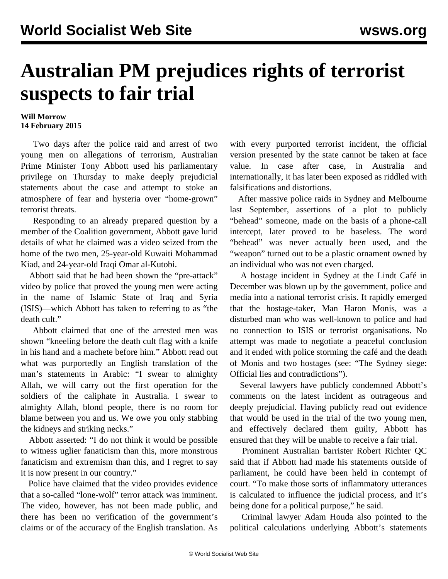## **Australian PM prejudices rights of terrorist suspects to fair trial**

## **Will Morrow 14 February 2015**

 Two days after the [police raid](/en/articles/2015/02/12/terr-f12.html) and arrest of two young men on allegations of terrorism, Australian Prime Minister Tony Abbott used his parliamentary privilege on Thursday to make deeply prejudicial statements about the case and attempt to stoke an atmosphere of fear and hysteria over "home-grown" terrorist threats.

 Responding to an already prepared question by a member of the Coalition government, Abbott gave lurid details of what he claimed was a video seized from the home of the two men, 25-year-old Kuwaiti Mohammad Kiad, and 24-year-old Iraqi Omar al-Kutobi.

 Abbott said that he had been shown the "pre-attack" video by police that proved the young men were acting in the name of Islamic State of Iraq and Syria (ISIS)—which Abbott has taken to referring to as "the death cult."

 Abbott claimed that one of the arrested men was shown "kneeling before the death cult flag with a knife in his hand and a machete before him." Abbott read out what was purportedly an English translation of the man's statements in Arabic: "I swear to almighty Allah, we will carry out the first operation for the soldiers of the caliphate in Australia. I swear to almighty Allah, blond people, there is no room for blame between you and us. We owe you only stabbing the kidneys and striking necks."

 Abbott asserted: "I do not think it would be possible to witness uglier fanaticism than this, more monstrous fanaticism and extremism than this, and I regret to say it is now present in our country."

 Police have claimed that the video provides evidence that a so-called "lone-wolf" terror attack was imminent. The video, however, has not been made public, and there has been no verification of the government's claims or of the accuracy of the English translation. As

with every purported terrorist incident, the official version presented by the state cannot be taken at face value. In case after case, in Australia and internationally, it has later been exposed as riddled with falsifications and distortions.

 After massive police raids in Sydney and Melbourne last September, assertions of a plot to publicly "behead" someone, made on the basis of a phone-call intercept, later proved to be baseless. The word "behead" was never actually been used, and the "weapon" turned out to be a plastic ornament owned by an individual who was not even charged.

 A hostage incident in Sydney at the Lindt Café in December was blown up by the government, police and media into a national terrorist crisis. It rapidly emerged that the hostage-taker, Man Haron Monis, was a disturbed man who was well-known to police and had no connection to ISIS or terrorist organisations. No attempt was made to negotiate a peaceful conclusion and it ended with police storming the café and the death of Monis and two hostages (see: "[The Sydney siege:](/en/articles/2014/12/27/sieg-d27.html) [Official lies and contradictions"](/en/articles/2014/12/27/sieg-d27.html)).

 Several lawyers have publicly condemned Abbott's comments on the latest incident as outrageous and deeply prejudicial. Having publicly read out evidence that would be used in the trial of the two young men, and effectively declared them guilty, Abbott has ensured that they will be unable to receive a fair trial.

 Prominent Australian barrister Robert Richter QC said that if Abbott had made his statements outside of parliament, he could have been held in contempt of court. "To make those sorts of inflammatory utterances is calculated to influence the judicial process, and it's being done for a political purpose," he said.

 Criminal lawyer Adam Houda also pointed to the political calculations underlying Abbott's statements